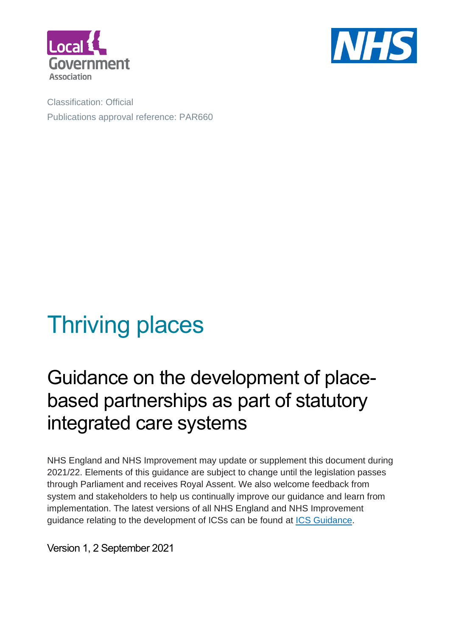



Classification: Official Publications approval reference: PAR660

# Thriving places

## Guidance on the development of placebased partnerships as part of statutory integrated care systems

NHS England and NHS Improvement may update or supplement this document during 2021/22. Elements of this guidance are subject to change until the legislation passes through Parliament and receives Royal Assent. We also welcome feedback from system and stakeholders to help us continually improve our guidance and learn from implementation. The latest versions of all NHS England and NHS Improvement guidance relating to the development of ICSs can be found at [ICS Guidance.](https://future.nhs.uk/ICSGuidance/grouphome)

Version 1, 2 September 2021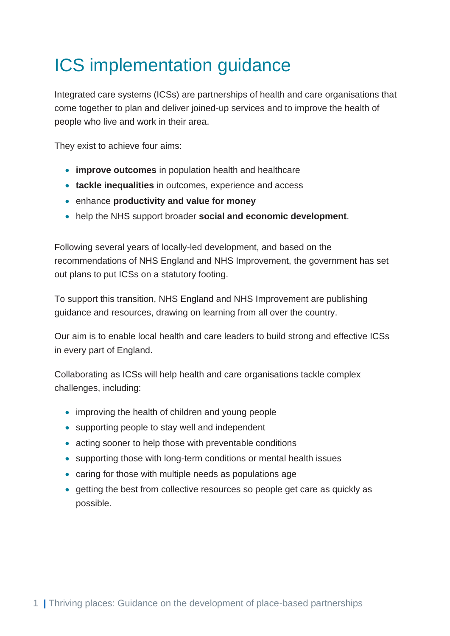## <span id="page-1-0"></span>ICS implementation guidance

Integrated care systems (ICSs) are partnerships of health and care organisations that come together to plan and deliver joined-up services and to improve the health of people who live and work in their area.

They exist to achieve four aims:

- **improve outcomes** in population health and healthcare
- **tackle inequalities** in outcomes, experience and access
- enhance **productivity and value for money**
- help the NHS support broader **social and economic development**.

Following several years of locally-led development, and based on the recommendations of NHS England and NHS Improvement, the government has set out plans to put ICSs on a statutory footing.

To support this transition, NHS England and NHS Improvement are publishing guidance and resources, drawing on learning from all over the country.

Our aim is to enable local health and care leaders to build strong and effective ICSs in every part of England.

Collaborating as ICSs will help health and care organisations tackle complex challenges, including:

- improving the health of children and young people
- supporting people to stay well and independent
- acting sooner to help those with preventable conditions
- supporting those with long-term conditions or mental health issues
- caring for those with multiple needs as populations age
- getting the best from collective resources so people get care as quickly as possible.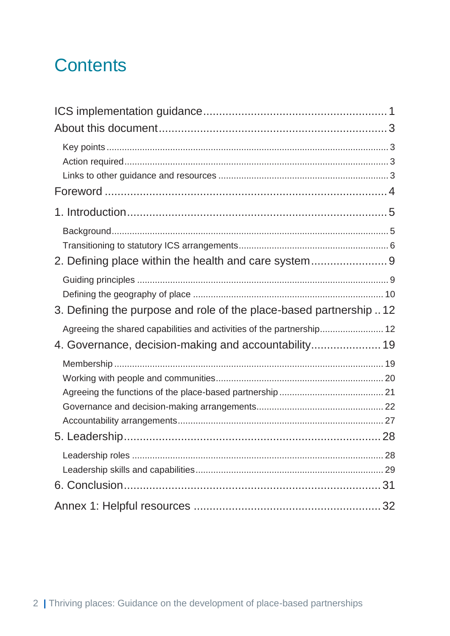## **Contents**

| 2. Defining place within the health and care system 9                 |    |
|-----------------------------------------------------------------------|----|
| 3. Defining the purpose and role of the place-based partnership12     |    |
| Agreeing the shared capabilities and activities of the partnership 12 |    |
|                                                                       |    |
|                                                                       |    |
|                                                                       | 31 |
|                                                                       | 32 |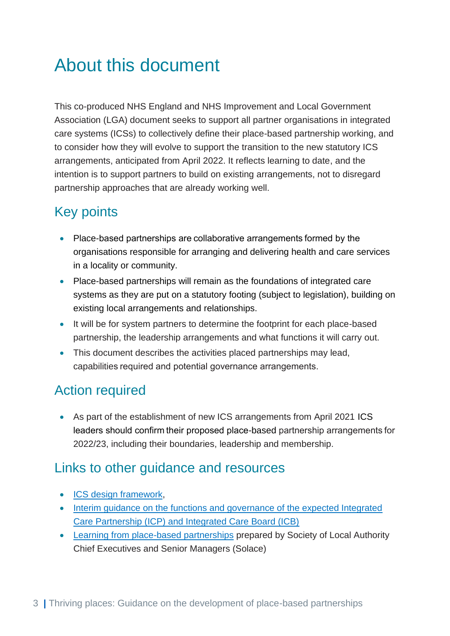## <span id="page-3-0"></span>About this document

This co-produced NHS England and NHS Improvement and Local Government Association (LGA) document seeks to support all partner organisations in integrated care systems (ICSs) to collectively define their place-based partnership working, and to consider how they will evolve to support the transition to the new statutory ICS arrangements, anticipated from April 2022. It reflects learning to date, and the intention is to support partners to build on existing arrangements, not to disregard partnership approaches that are already working well.

## <span id="page-3-1"></span>Key points

- Place-based partnerships are collaborative arrangements formed by the organisations responsible for arranging and delivering health and care services in a locality or community.
- Place-based partnerships will remain as the foundations of integrated care systems as they are put on a statutory footing (subject to legislation), building on existing local arrangements and relationships.
- It will be for system partners to determine the footprint for each place-based partnership, the leadership arrangements and what functions it will carry out.
- This document describes the activities placed partnerships may lead, capabilities required and potential governance arrangements.

## <span id="page-3-2"></span>Action required

• As part of the establishment of new ICS arrangements from April 2021 ICS leaders should confirm their proposed place-based partnership arrangements for 2022/23, including their boundaries, leadership and membership.

### <span id="page-3-3"></span>Links to other guidance and resources

- [ICS design framework,](https://www.england.nhs.uk/publication/integrated-care-systems-design-framework/)
- [Interim guidance on the functions and governance of the expected Integrated](https://www.england.nhs.uk/wp-content/uploads/2021/06/B0886_Interim-guidance-on-the-functions-and-governance-of-the-integrated-care-board-August-2021.pdf) [Care Partnership \(ICP\) and Integrated Care Board \(ICB\)](https://www.england.nhs.uk/wp-content/uploads/2021/06/B0886_Interim-guidance-on-the-functions-and-governance-of-the-integrated-care-board-August-2021.pdf)
- [Learning from place-based partnerships](https://solace.org.uk/news_and_press/delivering-together-for-residents-a-joint-solace-nhs-report) prepared by Society of Local Authority Chief Executives and Senior Managers (Solace)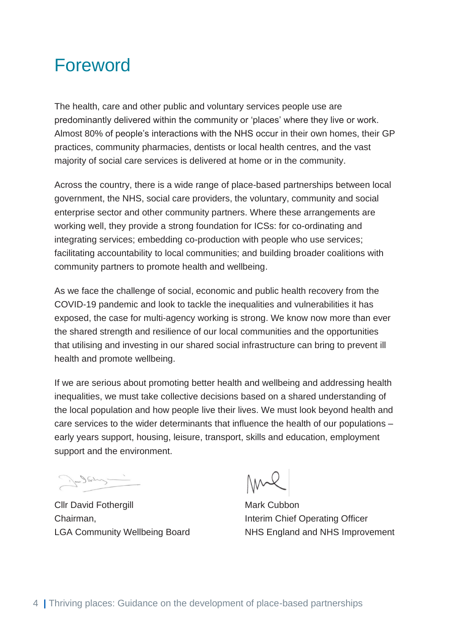## <span id="page-4-0"></span>Foreword

The health, care and other public and voluntary services people use are predominantly delivered within the community or 'places' where they live or work. Almost 80% of people's interactions with the NHS occur in their own homes, their GP practices, community pharmacies, dentists or local health centres, and the vast majority of social care services is delivered at home or in the community.

Across the country, there is a wide range of place-based partnerships between local government, the NHS, social care providers, the voluntary, community and social enterprise sector and other community partners. Where these arrangements are working well, they provide a strong foundation for ICSs: for co-ordinating and integrating services; embedding co-production with people who use services; facilitating accountability to local communities; and building broader coalitions with community partners to promote health and wellbeing.

As we face the challenge of social, economic and public health recovery from the COVID-19 pandemic and look to tackle the inequalities and vulnerabilities it has exposed, the case for multi-agency working is strong. We know now more than ever the shared strength and resilience of our local communities and the opportunities that utilising and investing in our shared social infrastructure can bring to prevent ill health and promote wellbeing.

If we are serious about promoting better health and wellbeing and addressing health inequalities, we must take collective decisions based on a shared understanding of the local population and how people live their lives. We must look beyond health and care services to the wider determinants that influence the health of our populations – early years support, housing, leisure, transport, skills and education, employment support and the environment.

Ja Staly -

**Cllr David Fothergill Clubbon** Mark Cubbon Chairman, **Interim Chief Operating Officer** 

NMX

LGA Community Wellbeing Board NHS England and NHS Improvement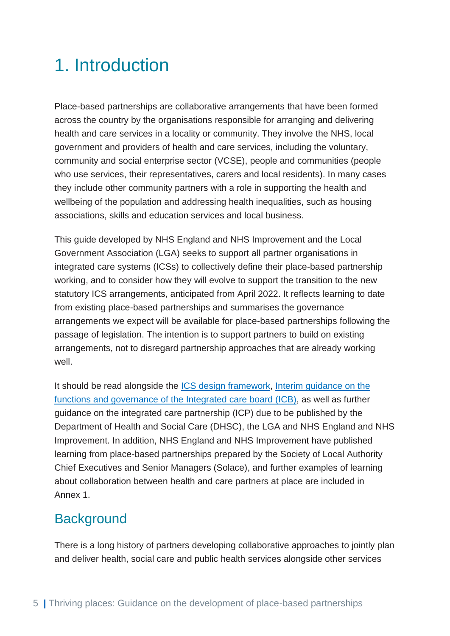## <span id="page-5-0"></span>1. Introduction

Place-based partnerships are collaborative arrangements that have been formed across the country by the organisations responsible for arranging and delivering health and care services in a locality or community. They involve the NHS, local government and providers of health and care services, including the voluntary, community and social enterprise sector (VCSE), people and communities (people who use services, their representatives, carers and local residents). In many cases they include other community partners with a role in supporting the health and wellbeing of the population and addressing health inequalities, such as housing associations, skills and education services and local business.

This guide developed by NHS England and NHS Improvement and the Local Government Association (LGA) seeks to support all partner organisations in integrated care systems (ICSs) to collectively define their place-based partnership working, and to consider how they will evolve to support the transition to the new statutory ICS arrangements, anticipated from April 2022. It reflects learning to date from existing place-based partnerships and summarises the governance arrangements we expect will be available for place-based partnerships following the passage of legislation. The intention is to support partners to build on existing arrangements, not to disregard partnership approaches that are already working well.

It should be read alongside the [ICS design framework,](https://www.england.nhs.uk/publication/integrated-care-systems-design-framework/) [Interim guidance on the](https://www.england.nhs.uk/wp-content/uploads/2021/06/B0886_Interim-guidance-on-the-functions-and-governance-of-the-integrated-care-board-August-2021.pdf)  [functions and governance of the Integrated care board](https://www.england.nhs.uk/wp-content/uploads/2021/06/B0886_Interim-guidance-on-the-functions-and-governance-of-the-integrated-care-board-August-2021.pdf) (ICB), as well as further guidance on the integrated care partnership (ICP) due to be published by the Department of Health and Social Care (DHSC), the LGA and NHS England and NHS Improvement. In addition, NHS England and NHS Improvement have published learning from place-based partnerships prepared by the Society of Local Authority Chief Executives and Senior Managers (Solace), and further examples of learning about collaboration between health and care partners at place are included in Annex 1.

### <span id="page-5-1"></span>**Background**

There is a long history of partners developing collaborative approaches to jointly plan and deliver health, social care and public health services alongside other services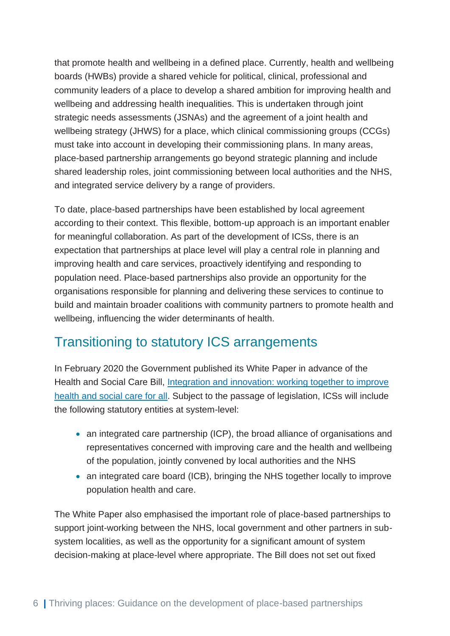that promote health and wellbeing in a defined place. Currently, health and wellbeing boards (HWBs) provide a shared vehicle for political, clinical, professional and community leaders of a place to develop a shared ambition for improving health and wellbeing and addressing health inequalities. This is undertaken through joint strategic needs assessments (JSNAs) and the agreement of a joint health and wellbeing strategy (JHWS) for a place, which clinical commissioning groups (CCGs) must take into account in developing their commissioning plans. In many areas, place-based partnership arrangements go beyond strategic planning and include shared leadership roles, joint commissioning between local authorities and the NHS, and integrated service delivery by a range of providers.

To date, place-based partnerships have been established by local agreement according to their context. This flexible, bottom-up approach is an important enabler for meaningful collaboration. As part of the development of ICSs, there is an expectation that partnerships at place level will play a central role in planning and improving health and care services, proactively identifying and responding to population need. Place-based partnerships also provide an opportunity for the organisations responsible for planning and delivering these services to continue to build and maintain broader coalitions with community partners to promote health and wellbeing, influencing the wider determinants of health.

### <span id="page-6-0"></span>Transitioning to statutory ICS arrangements

In February 2020 the Government published its White Paper in advance of the Health and Social Care Bill, Integration and innovation: working together to improve [health and social care for all.](https://www.gov.uk/government/publications/working-together-to-improve-health-and-social-care-for-all) Subject to the passage of legislation, ICSs will include the following statutory entities at system-level:

- an integrated care partnership (ICP), the broad alliance of organisations and representatives concerned with improving care and the health and wellbeing of the population, jointly convened by local authorities and the NHS
- an integrated care board (ICB), bringing the NHS together locally to improve population health and care.

The White Paper also emphasised the important role of place-based partnerships to support joint-working between the NHS, local government and other partners in subsystem localities, as well as the opportunity for a significant amount of system decision-making at place-level where appropriate. The Bill does not set out fixed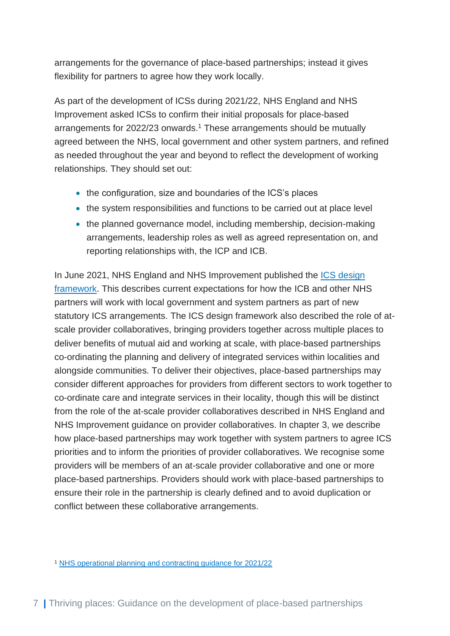arrangements for the governance of place-based partnerships; instead it gives flexibility for partners to agree how they work locally.

As part of the development of ICSs during 2021/22, NHS England and NHS Improvement asked ICSs to confirm their initial proposals for place-based arrangements for 2022/23 onwards. <sup>1</sup> These arrangements should be mutually agreed between the NHS, local government and other system partners, and refined as needed throughout the year and beyond to reflect the development of working relationships. They should set out:

- the configuration, size and boundaries of the ICS's places
- the system responsibilities and functions to be carried out at place level
- the planned governance model, including membership, decision-making arrangements, leadership roles as well as agreed representation on, and reporting relationships with, the ICP and ICB.

In June 2021, NHS England and NHS Improvement published the **ICS** design [framework.](https://www.england.nhs.uk/publication/integrated-care-systems-design-framework/) This describes current expectations for how the ICB and other NHS partners will work with local government and system partners as part of new statutory ICS arrangements. The ICS design framework also described the role of atscale provider collaboratives, bringing providers together across multiple places to deliver benefits of mutual aid and working at scale, with place-based partnerships co-ordinating the planning and delivery of integrated services within localities and alongside communities. To deliver their objectives, place-based partnerships may consider different approaches for providers from different sectors to work together to co-ordinate care and integrate services in their locality, though this will be distinct from the role of the at-scale provider collaboratives described in NHS England and NHS Improvement guidance on provider collaboratives. In chapter 3, we describe how place-based partnerships may work together with system partners to agree ICS priorities and to inform the priorities of provider collaboratives. We recognise some providers will be members of an at-scale provider collaborative and one or more place-based partnerships. Providers should work with place-based partnerships to ensure their role in the partnership is clearly defined and to avoid duplication or conflict between these collaborative arrangements.

<sup>1</sup> [NHS operational planning and contracting guidance for 2021/22](https://www.england.nhs.uk/operational-planning-and-contracting/)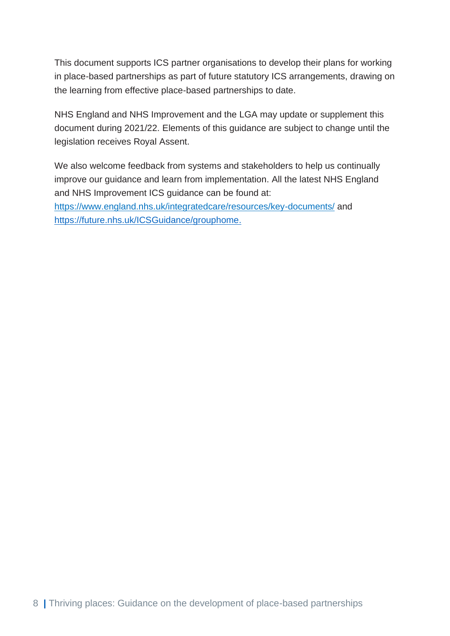This document supports ICS partner organisations to develop their plans for working in place-based partnerships as part of future statutory ICS arrangements, drawing on the learning from effective place-based partnerships to date.

NHS England and NHS Improvement and the LGA may update or supplement this document during 2021/22. Elements of this guidance are subject to change until the legislation receives Royal Assent.

We also welcome feedback from systems and stakeholders to help us continually improve our guidance and learn from implementation. All the latest NHS England and NHS Improvement ICS guidance can be found at: <https://www.england.nhs.uk/integratedcare/resources/key-documents/> and

https://future.nhs.uk/ICSGuidance/grouphome.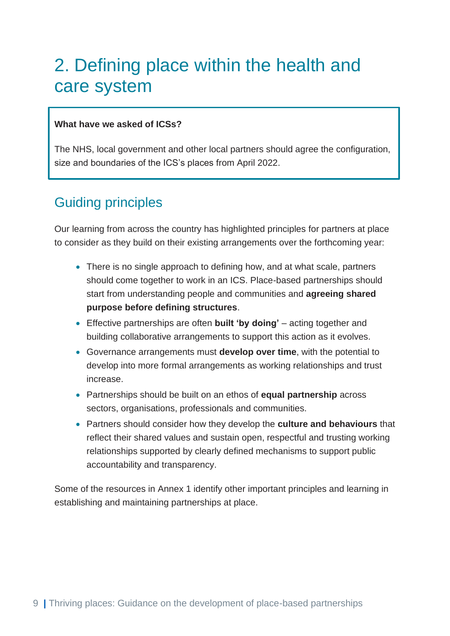## <span id="page-9-0"></span>2. Defining place within the health and care system

### **What have we asked of ICSs?**

The NHS, local government and other local partners should agree the configuration, size and boundaries of the ICS's places from April 2022.

### <span id="page-9-1"></span>Guiding principles

Our learning from across the country has highlighted principles for partners at place to consider as they build on their existing arrangements over the forthcoming year:

- There is no single approach to defining how, and at what scale, partners should come together to work in an ICS. Place-based partnerships should start from understanding people and communities and **agreeing shared purpose before defining structures**.
- Effective partnerships are often **built 'by doing'** acting together and building collaborative arrangements to support this action as it evolves.
- Governance arrangements must **develop over time**, with the potential to develop into more formal arrangements as working relationships and trust increase.
- Partnerships should be built on an ethos of **equal partnership** across sectors, organisations, professionals and communities.
- Partners should consider how they develop the **culture and behaviours** that reflect their shared values and sustain open, respectful and trusting working relationships supported by clearly defined mechanisms to support public accountability and transparency.

Some of the resources in Annex 1 identify other important principles and learning in establishing and maintaining partnerships at place.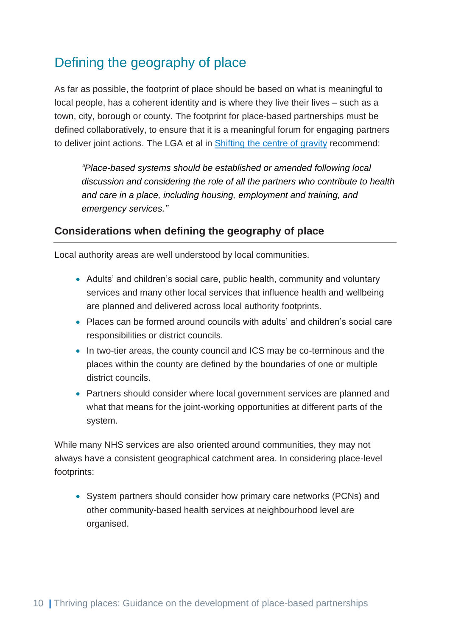## <span id="page-10-0"></span>Defining the geography of place

As far as possible, the footprint of place should be based on what is meaningful to local people, has a coherent identity and is where they live their lives – such as a town, city, borough or county. The footprint for place-based partnerships must be defined collaboratively, to ensure that it is a meaningful forum for engaging partners to deliver joint actions. The LGA et al in **Shifting the centre of gravity recommend**:

*"Place-based systems should be established or amended following local discussion and considering the role of all the partners who contribute to health and care in a place, including housing, employment and training, and emergency services."*

### **Considerations when defining the geography of place**

Local authority areas are well understood by local communities.

- Adults' and children's social care, public health, community and voluntary services and many other local services that influence health and wellbeing are planned and delivered across local authority footprints.
- Places can be formed around councils with adults' and children's social care responsibilities or district councils.
- In two-tier areas, the county council and ICS may be co-terminous and the places within the county are defined by the boundaries of one or multiple district councils.
- Partners should consider where local government services are planned and what that means for the joint-working opportunities at different parts of the system.

While many NHS services are also oriented around communities, they may not always have a consistent geographical catchment area. In considering place-level footprints:

• System partners should consider how primary care networks (PCNs) and other community-based health services at neighbourhood level are organised.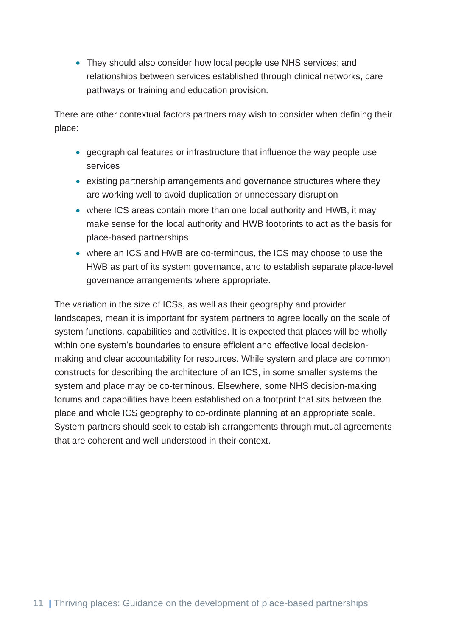• They should also consider how local people use NHS services; and relationships between services established through clinical networks, care pathways or training and education provision.

There are other contextual factors partners may wish to consider when defining their place:

- geographical features or infrastructure that influence the way people use services
- existing partnership arrangements and governance structures where they are working well to avoid duplication or unnecessary disruption
- where ICS areas contain more than one local authority and HWB, it may make sense for the local authority and HWB footprints to act as the basis for place-based partnerships
- where an ICS and HWB are co-terminous, the ICS may choose to use the HWB as part of its system governance, and to establish separate place-level governance arrangements where appropriate.

The variation in the size of ICSs, as well as their geography and provider landscapes, mean it is important for system partners to agree locally on the scale of system functions, capabilities and activities. It is expected that places will be wholly within one system's boundaries to ensure efficient and effective local decisionmaking and clear accountability for resources. While system and place are common constructs for describing the architecture of an ICS, in some smaller systems the system and place may be co-terminous. Elsewhere, some NHS decision-making forums and capabilities have been established on a footprint that sits between the place and whole ICS geography to co-ordinate planning at an appropriate scale. System partners should seek to establish arrangements through mutual agreements that are coherent and well understood in their context.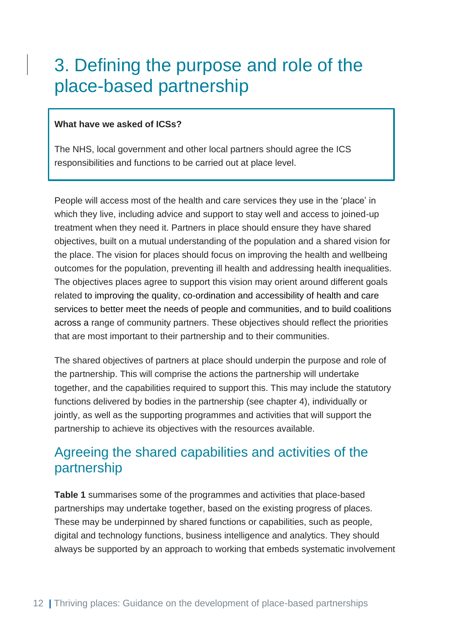## <span id="page-12-0"></span>3. Defining the purpose and role of the place-based partnership

#### **What have we asked of ICSs?**

The NHS, local government and other local partners should agree the ICS responsibilities and functions to be carried out at place level.

People will access most of the health and care services they use in the 'place' in which they live, including advice and support to stay well and access to joined-up treatment when they need it. Partners in place should ensure they have shared objectives, built on a mutual understanding of the population and a shared vision for the place. The vision for places should focus on improving the health and wellbeing outcomes for the population, preventing ill health and addressing health inequalities. The objectives places agree to support this vision may orient around different goals related to improving the quality, co-ordination and accessibility of health and care services to better meet the needs of people and communities, and to build coalitions across a range of community partners. These objectives should reflect the priorities that are most important to their partnership and to their communities.

The shared objectives of partners at place should underpin the purpose and role of the partnership. This will comprise the actions the partnership will undertake together, and the capabilities required to support this. This may include the statutory functions delivered by bodies in the partnership (see chapter 4), individually or jointly, as well as the supporting programmes and activities that will support the partnership to achieve its objectives with the resources available.

### <span id="page-12-1"></span>Agreeing the shared capabilities and activities of the partnership

**Table 1** summarises some of the programmes and activities that place-based partnerships may undertake together, based on the existing progress of places. These may be underpinned by shared functions or capabilities, such as people, digital and technology functions, business intelligence and analytics. They should always be supported by an approach to working that embeds systematic involvement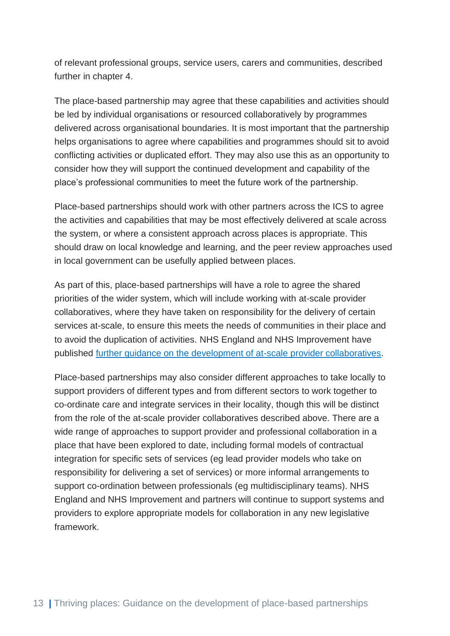of relevant professional groups, service users, carers and communities, described further in chapter 4.

The place-based partnership may agree that these capabilities and activities should be led by individual organisations or resourced collaboratively by programmes delivered across organisational boundaries. It is most important that the partnership helps organisations to agree where capabilities and programmes should sit to avoid conflicting activities or duplicated effort. They may also use this as an opportunity to consider how they will support the continued development and capability of the place's professional communities to meet the future work of the partnership.

Place-based partnerships should work with other partners across the ICS to agree the activities and capabilities that may be most effectively delivered at scale across the system, or where a consistent approach across places is appropriate. This should draw on local knowledge and learning, and the peer review approaches used in local government can be usefully applied between places.

As part of this, place-based partnerships will have a role to agree the shared priorities of the wider system, which will include working with at-scale provider collaboratives, where they have taken on responsibility for the delivery of certain services at-scale, to ensure this meets the needs of communities in their place and to avoid the duplication of activities. NHS England and NHS Improvement have published [further guidance on the development of at-scale provider collaboratives.](https://www.england.nhs.uk/wp-content/uploads/2021/06/B0754-working-together-at-scale-guidance-on-provider-collaboratives.pdf)

Place-based partnerships may also consider different approaches to take locally to support providers of different types and from different sectors to work together to co-ordinate care and integrate services in their locality, though this will be distinct from the role of the at-scale provider collaboratives described above. There are a wide range of approaches to support provider and professional collaboration in a place that have been explored to date, including formal models of contractual integration for specific sets of services (eg lead provider models who take on responsibility for delivering a set of services) or more informal arrangements to support co-ordination between professionals (eg multidisciplinary teams). NHS England and NHS Improvement and partners will continue to support systems and providers to explore appropriate models for collaboration in any new legislative framework.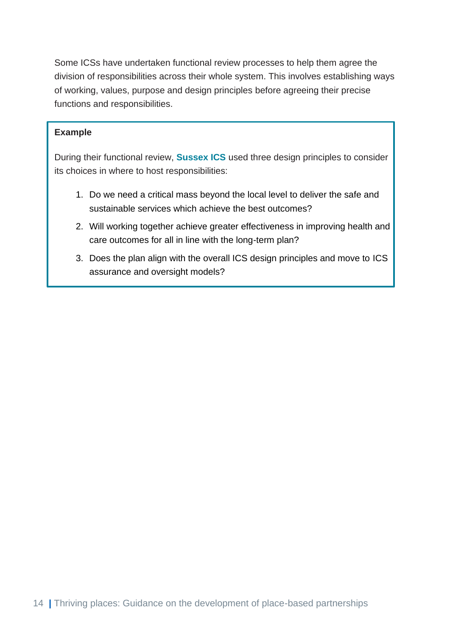Some ICSs have undertaken functional review processes to help them agree the division of responsibilities across their whole system. This involves establishing ways of working, values, purpose and design principles before agreeing their precise functions and responsibilities.

### **Example**

During their functional review, **Sussex ICS** used three design principles to consider its choices in where to host responsibilities:

- 1. Do we need a critical mass beyond the local level to deliver the safe and sustainable services which achieve the best outcomes?
- 2. Will working together achieve greater effectiveness in improving health and care outcomes for all in line with the long-term plan?
- 3. Does the plan align with the overall ICS design principles and move to ICS assurance and oversight models?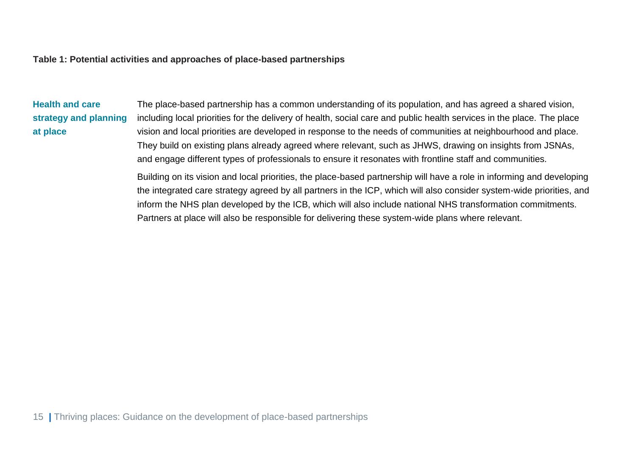#### **Table 1: Potential activities and approaches of place-based partnerships**

**Health and care strategy and planning at place**

The place-based partnership has a common understanding of its population, and has agreed a shared vision, including local priorities for the delivery of health, social care and public health services in the place. The place vision and local priorities are developed in response to the needs of communities at neighbourhood and place. They build on existing plans already agreed where relevant, such as JHWS, drawing on insights from JSNAs, and engage different types of professionals to ensure it resonates with frontline staff and communities.

Building on its vision and local priorities, the place-based partnership will have a role in informing and developing the integrated care strategy agreed by all partners in the ICP, which will also consider system-wide priorities, and inform the NHS plan developed by the ICB, which will also include national NHS transformation commitments. Partners at place will also be responsible for delivering these system-wide plans where relevant.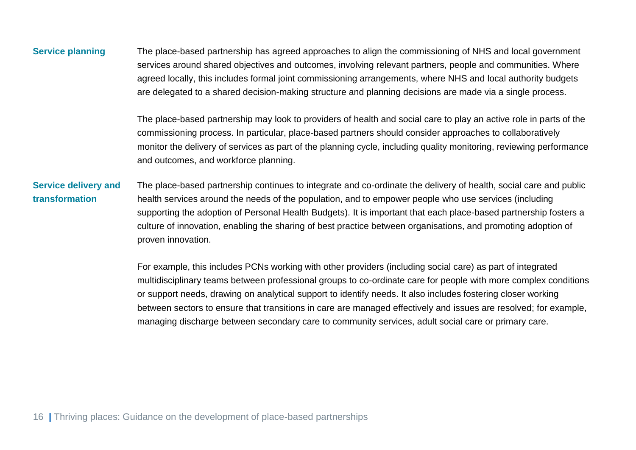### **Service planning** The place-based partnership has agreed approaches to align the commissioning of NHS and local government services around shared objectives and outcomes, involving relevant partners, people and communities. Where agreed locally, this includes formal joint commissioning arrangements, where NHS and local authority budgets are delegated to a shared decision-making structure and planning decisions are made via a single process.

The place-based partnership may look to providers of health and social care to play an active role in parts of the commissioning process. In particular, place-based partners should consider approaches to collaboratively monitor the delivery of services as part of the planning cycle, including quality monitoring, reviewing performance and outcomes, and workforce planning.

#### **Service delivery and transformation** The place-based partnership continues to integrate and co-ordinate the delivery of health, social care and public health services around the needs of the population, and to empower people who use services (including supporting the adoption of Personal Health Budgets). It is important that each place-based partnership fosters a culture of innovation, enabling the sharing of best practice between organisations, and promoting adoption of proven innovation.

For example, this includes PCNs working with other providers (including social care) as part of integrated multidisciplinary teams between professional groups to co-ordinate care for people with more complex conditions or support needs, drawing on analytical support to identify needs. It also includes fostering closer working between sectors to ensure that transitions in care are managed effectively and issues are resolved; for example, managing discharge between secondary care to community services, adult social care or primary care.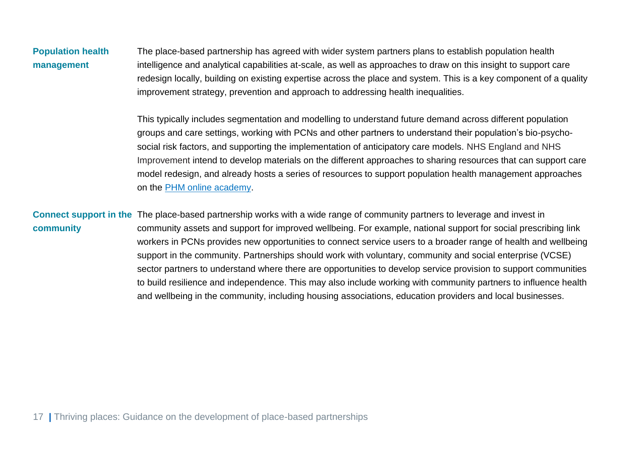**Population health management** The place-based partnership has agreed with wider system partners plans to establish population health intelligence and analytical capabilities at-scale, as well as approaches to draw on this insight to support care redesign locally, building on existing expertise across the place and system. This is a key component of a quality improvement strategy, prevention and approach to addressing health inequalities.

> This typically includes segmentation and modelling to understand future demand across different population groups and care settings, working with PCNs and other partners to understand their population's bio-psychosocial risk factors, and supporting the implementation of anticipatory care models. NHS England and NHS Improvement intend to develop materials on the different approaches to sharing resources that can support care model redesign, and already hosts a series of resources to support population health management approaches on the [PHM online academy.](https://future.nhs.uk/populationhealth/grouphome)

**Connect support in the**  The place-based partnership works with a wide range of community partners to leverage and invest in **community** community assets and support for improved wellbeing. For example, national support for social prescribing link workers in PCNs provides new opportunities to connect service users to a broader range of health and wellbeing support in the community. Partnerships should work with voluntary, community and social enterprise (VCSE) sector partners to understand where there are opportunities to develop service provision to support communities to build resilience and independence. This may also include working with community partners to influence health and wellbeing in the community, including housing associations, education providers and local businesses.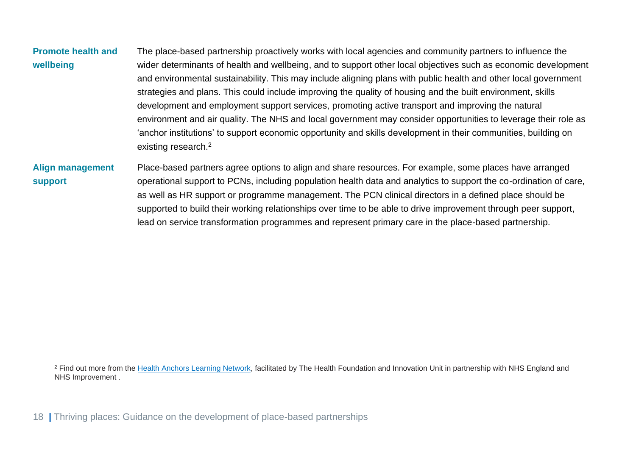| <b>Promote health and</b><br>wellbeing | The place-based partnership proactively works with local agencies and community partners to influence the<br>wider determinants of health and wellbeing, and to support other local objectives such as economic development<br>and environmental sustainability. This may include aligning plans with public health and other local government<br>strategies and plans. This could include improving the quality of housing and the built environment, skills<br>development and employment support services, promoting active transport and improving the natural<br>environment and air quality. The NHS and local government may consider opportunities to leverage their role as<br>'anchor institutions' to support economic opportunity and skills development in their communities, building on<br>existing research. <sup>2</sup> |
|----------------------------------------|-------------------------------------------------------------------------------------------------------------------------------------------------------------------------------------------------------------------------------------------------------------------------------------------------------------------------------------------------------------------------------------------------------------------------------------------------------------------------------------------------------------------------------------------------------------------------------------------------------------------------------------------------------------------------------------------------------------------------------------------------------------------------------------------------------------------------------------------|
| <b>Align management</b>                | Place-based partners agree options to align and share resources. For example, some places have arranged                                                                                                                                                                                                                                                                                                                                                                                                                                                                                                                                                                                                                                                                                                                                   |

**support** operational support to PCNs, including population health data and analytics to support the co-ordination of care, as well as HR support or programme management. The PCN clinical directors in a defined place should be supported to build their working relationships over time to be able to drive improvement through peer support, lead on service transformation programmes and represent primary care in the place-based partnership.

<sup>2</sup> Find out more from the [Health Anchors Learning Network,](https://www.health.org.uk/news-and-comment/charts-and-infographics/the-nhs-as-an-anchor-institution) facilitated by The Health Foundation and Innovation Unit in partnership with NHS England and NHS Improvement .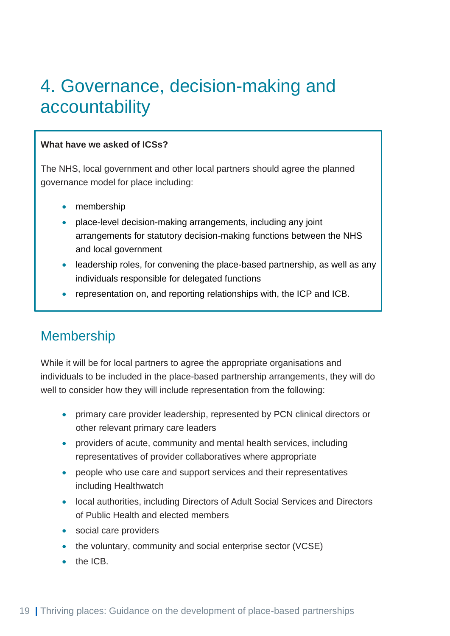## <span id="page-19-0"></span>4. Governance, decision-making and accountability

### **What have we asked of ICSs?**

The NHS, local government and other local partners should agree the planned governance model for place including:

- membership
- place-level decision-making arrangements, including any joint arrangements for statutory decision-making functions between the NHS and local government
- leadership roles, for convening the place-based partnership, as well as any individuals responsible for delegated functions
- representation on, and reporting relationships with, the ICP and ICB.

### <span id="page-19-1"></span>Membership

While it will be for local partners to agree the appropriate organisations and individuals to be included in the place-based partnership arrangements, they will do well to consider how they will include representation from the following:

- primary care provider leadership, represented by PCN clinical directors or other relevant primary care leaders
- providers of acute, community and mental health services, including representatives of provider collaboratives where appropriate
- people who use care and support services and their representatives including Healthwatch
- local authorities, including Directors of Adult Social Services and Directors of Public Health and elected members
- social care providers
- the voluntary, community and social enterprise sector (VCSE)
- the ICB.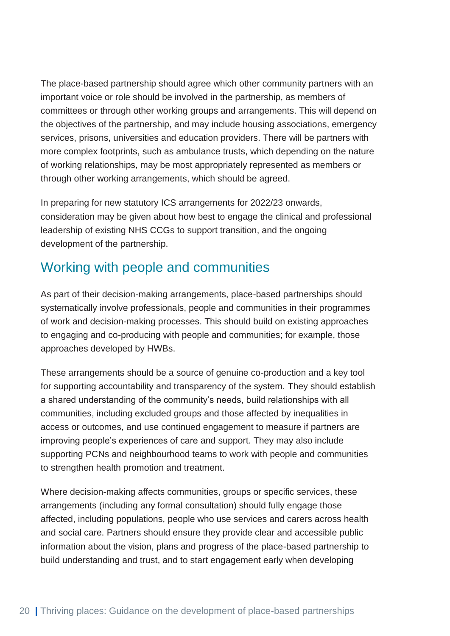The place-based partnership should agree which other community partners with an important voice or role should be involved in the partnership, as members of committees or through other working groups and arrangements. This will depend on the objectives of the partnership, and may include housing associations, emergency services, prisons, universities and education providers. There will be partners with more complex footprints, such as ambulance trusts, which depending on the nature of working relationships, may be most appropriately represented as members or through other working arrangements, which should be agreed.

In preparing for new statutory ICS arrangements for 2022/23 onwards, consideration may be given about how best to engage the clinical and professional leadership of existing NHS CCGs to support transition, and the ongoing development of the partnership.

### <span id="page-20-0"></span>Working with people and communities

As part of their decision-making arrangements, place-based partnerships should systematically involve professionals, people and communities in their programmes of work and decision-making processes. This should build on existing approaches to engaging and co-producing with people and communities; for example, those approaches developed by HWBs.

These arrangements should be a source of genuine co-production and a key tool for supporting accountability and transparency of the system. They should establish a shared understanding of the community's needs, build relationships with all communities, including excluded groups and those affected by inequalities in access or outcomes, and use continued engagement to measure if partners are improving people's experiences of care and support. They may also include supporting PCNs and neighbourhood teams to work with people and communities to strengthen health promotion and treatment.

Where decision-making affects communities, groups or specific services, these arrangements (including any formal consultation) should fully engage those affected, including populations, people who use services and carers across health and social care. Partners should ensure they provide clear and accessible public information about the vision, plans and progress of the place-based partnership to build understanding and trust, and to start engagement early when developing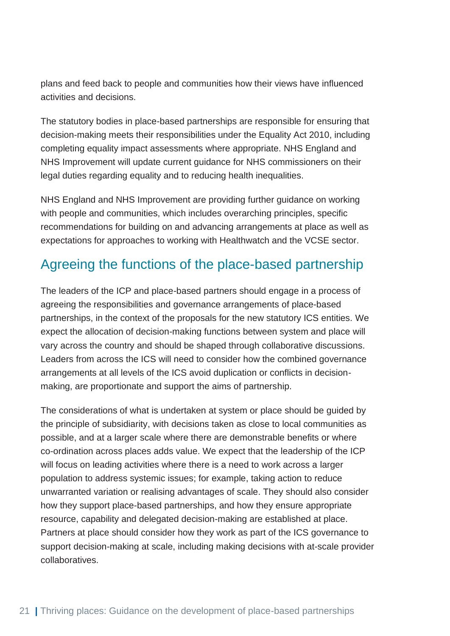plans and feed back to people and communities how their views have influenced activities and decisions.

The statutory bodies in place-based partnerships are responsible for ensuring that decision-making meets their responsibilities under the Equality Act 2010, including completing equality impact assessments where appropriate. NHS England and NHS Improvement will update current guidance for NHS commissioners on their legal duties regarding equality and to reducing health inequalities.

NHS England and NHS Improvement are providing further guidance on working with people and communities, which includes overarching principles, specific recommendations for building on and advancing arrangements at place as well as expectations for approaches to working with Healthwatch and the VCSE sector.

### <span id="page-21-0"></span>Agreeing the functions of the place-based partnership

The leaders of the ICP and place-based partners should engage in a process of agreeing the responsibilities and governance arrangements of place-based partnerships, in the context of the proposals for the new statutory ICS entities. We expect the allocation of decision-making functions between system and place will vary across the country and should be shaped through collaborative discussions. Leaders from across the ICS will need to consider how the combined governance arrangements at all levels of the ICS avoid duplication or conflicts in decisionmaking, are proportionate and support the aims of partnership.

The considerations of what is undertaken at system or place should be guided by the principle of subsidiarity, with decisions taken as close to local communities as possible, and at a larger scale where there are demonstrable benefits or where co-ordination across places adds value. We expect that the leadership of the ICP will focus on leading activities where there is a need to work across a larger population to address systemic issues; for example, taking action to reduce unwarranted variation or realising advantages of scale. They should also consider how they support place-based partnerships, and how they ensure appropriate resource, capability and delegated decision-making are established at place. Partners at place should consider how they work as part of the ICS governance to support decision-making at scale, including making decisions with at-scale provider collaboratives.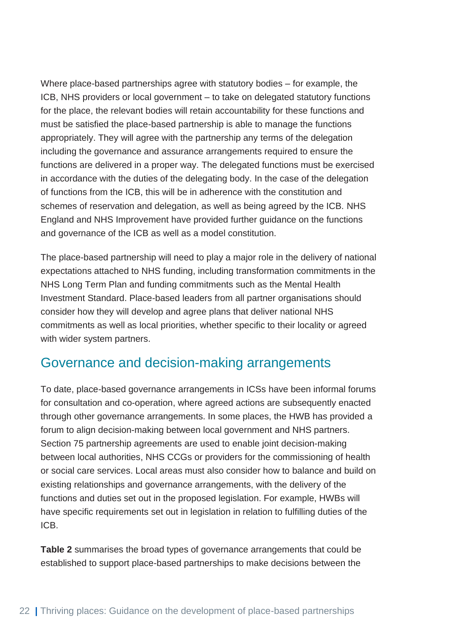Where place-based partnerships agree with statutory bodies – for example, the ICB, NHS providers or local government – to take on delegated statutory functions for the place, the relevant bodies will retain accountability for these functions and must be satisfied the place-based partnership is able to manage the functions appropriately. They will agree with the partnership any terms of the delegation including the governance and assurance arrangements required to ensure the functions are delivered in a proper way. The delegated functions must be exercised in accordance with the duties of the delegating body. In the case of the delegation of functions from the ICB, this will be in adherence with the constitution and schemes of reservation and delegation, as well as being agreed by the ICB. NHS England and NHS Improvement have provided further guidance on the functions and governance of the ICB as well as a model constitution.

The place-based partnership will need to play a major role in the delivery of national expectations attached to NHS funding, including transformation commitments in the NHS Long Term Plan and funding commitments such as the Mental Health Investment Standard. Place-based leaders from all partner organisations should consider how they will develop and agree plans that deliver national NHS commitments as well as local priorities, whether specific to their locality or agreed with wider system partners.

### <span id="page-22-0"></span>Governance and decision-making arrangements

To date, place-based governance arrangements in ICSs have been informal forums for consultation and co-operation, where agreed actions are subsequently enacted through other governance arrangements. In some places, the HWB has provided a forum to align decision-making between local government and NHS partners. Section 75 partnership agreements are used to enable joint decision-making between local authorities, NHS CCGs or providers for the commissioning of health or social care services. Local areas must also consider how to balance and build on existing relationships and governance arrangements, with the delivery of the functions and duties set out in the proposed legislation. For example, HWBs will have specific requirements set out in legislation in relation to fulfilling duties of the ICB.

**Table 2** summarises the broad types of governance arrangements that could be established to support place-based partnerships to make decisions between the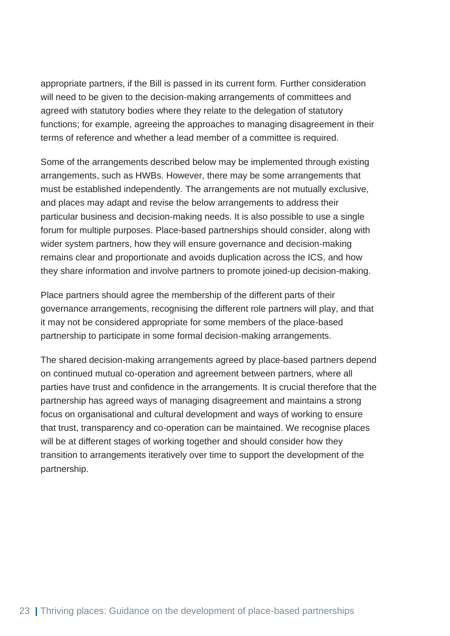appropriate partners, if the Bill is passed in its current form. Further consideration will need to be given to the decision-making arrangements of committees and agreed with statutory bodies where they relate to the delegation of statutory functions; for example, agreeing the approaches to managing disagreement in their terms of reference and whether a lead member of a committee is required.

Some of the arrangements described below may be implemented through existing arrangements, such as HWBs. However, there may be some arrangements that must be established independently. The arrangements are not mutually exclusive, and places may adapt and revise the below arrangements to address their particular business and decision-making needs. It is also possible to use a single forum for multiple purposes. Place-based partnerships should consider, along with wider system partners, how they will ensure governance and decision-making remains clear and proportionate and avoids duplication across the ICS, and how they share information and involve partners to promote joined-up decision-making.

Place partners should agree the membership of the different parts of their governance arrangements, recognising the different role partners will play, and that it may not be considered appropriate for some members of the place-based partnership to participate in some formal decision-making arrangements.

The shared decision-making arrangements agreed by place-based partners depend on continued mutual co-operation and agreement between partners, where all parties have trust and confidence in the arrangements. It is crucial therefore that the partnership has agreed ways of managing disagreement and maintains a strong focus on organisational and cultural development and ways of working to ensure that trust, transparency and co-operation can be maintained. We recognise places will be at different stages of working together and should consider how they transition to arrangements iteratively over time to support the development of the partnership.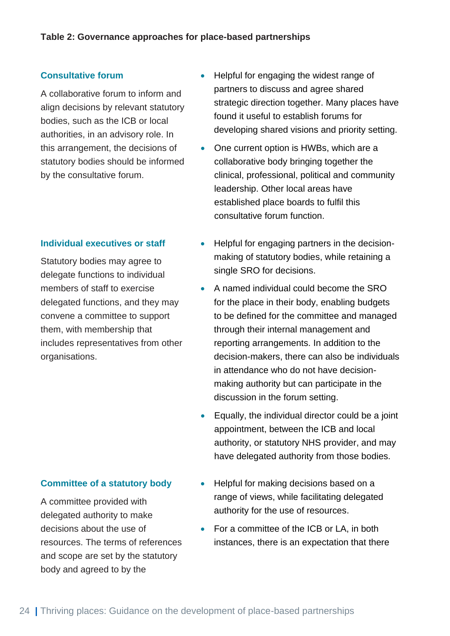#### **Consultative forum**

A collaborative forum to inform and align decisions by relevant statutory bodies, such as the ICB or local authorities, in an advisory role. In this arrangement, the decisions of statutory bodies should be informed by the consultative forum.

#### **Individual executives or staff**

Statutory bodies may agree to delegate functions to individual members of staff to exercise delegated functions, and they may convene a committee to support them, with membership that includes representatives from other organisations.

### **Committee of a statutory body**

A committee provided with delegated authority to make decisions about the use of resources. The terms of references and scope are set by the statutory body and agreed to by the

- Helpful for engaging the widest range of partners to discuss and agree shared strategic direction together. Many places have found it useful to establish forums for developing shared visions and priority setting.
- One current option is HWBs, which are a collaborative body bringing together the clinical, professional, political and community leadership. Other local areas have established place boards to fulfil this consultative forum function.
- Helpful for engaging partners in the decisionmaking of statutory bodies, while retaining a single SRO for decisions.
- A named individual could become the SRO for the place in their body, enabling budgets to be defined for the committee and managed through their internal management and reporting arrangements. In addition to the decision-makers, there can also be individuals in attendance who do not have decisionmaking authority but can participate in the discussion in the forum setting.
- Equally, the individual director could be a joint appointment, between the ICB and local authority, or statutory NHS provider, and may have delegated authority from those bodies.
- Helpful for making decisions based on a range of views, while facilitating delegated authority for the use of resources.
- For a committee of the ICB or LA, in both instances, there is an expectation that there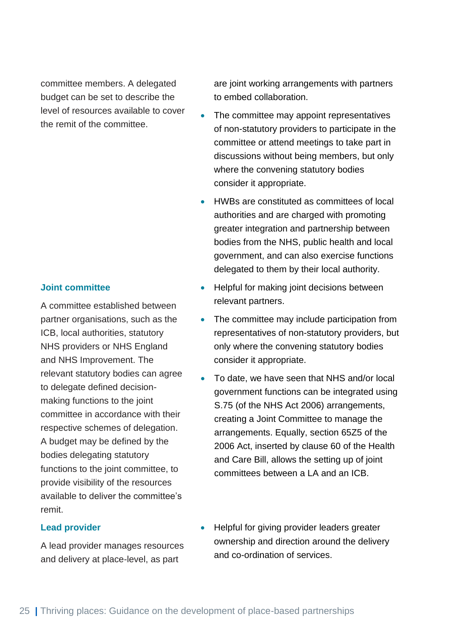committee members. A delegated budget can be set to describe the level of resources available to cover the remit of the committee.

#### **Joint committee**

A committee established between partner organisations, such as the ICB, local authorities, statutory NHS providers or NHS England and NHS Improvement. The relevant statutory bodies can agree to delegate defined decisionmaking functions to the joint committee in accordance with their respective schemes of delegation. A budget may be defined by the bodies delegating statutory functions to the joint committee, to provide visibility of the resources available to deliver the committee's remit.

#### **Lead provider**

A lead provider manages resources and delivery at place-level, as part

are joint working arrangements with partners to embed collaboration.

- The committee may appoint representatives of non-statutory providers to participate in the committee or attend meetings to take part in discussions without being members, but only where the convening statutory bodies consider it appropriate.
- HWBs are constituted as committees of local authorities and are charged with promoting greater integration and partnership between bodies from the NHS, public health and local government, and can also exercise functions delegated to them by their local authority.
- Helpful for making joint decisions between relevant partners.
- The committee may include participation from representatives of non-statutory providers, but only where the convening statutory bodies consider it appropriate.
- To date, we have seen that NHS and/or local government functions can be integrated using S.75 (of the NHS Act 2006) arrangements, creating a Joint Committee to manage the arrangements. Equally, section 65Z5 of the 2006 Act, inserted by clause 60 of the Health and Care Bill, allows the setting up of joint committees between a LA and an ICB.
- Helpful for giving provider leaders greater ownership and direction around the delivery and co-ordination of services.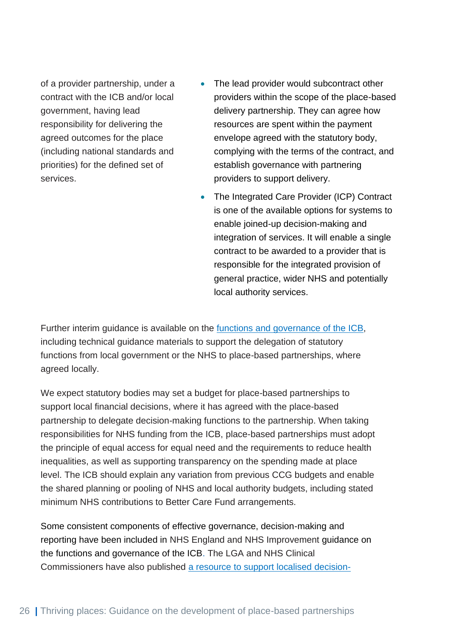of a provider partnership, under a contract with the ICB and/or local government, having lead responsibility for delivering the agreed outcomes for the place (including national standards and priorities) for the defined set of services.

- The lead provider would subcontract other providers within the scope of the place-based delivery partnership. They can agree how resources are spent within the payment envelope agreed with the statutory body, complying with the terms of the contract, and establish governance with partnering providers to support delivery.
- The Integrated Care Provider (ICP) Contract is one of the available options for systems to enable joined-up decision-making and integration of services. It will enable a single contract to be awarded to a provider that is responsible for the integrated provision of general practice, wider NHS and potentially local authority services.

Further interim guidance is available on the [functions and governance of the ICB,](https://www.england.nhs.uk/wp-content/uploads/2021/06/B0886_Interim-guidance-on-the-functions-and-governance-of-the-integrated-care-board-August-2021.pdf) including technical guidance materials to support the delegation of statutory functions from local government or the NHS to place-based partnerships, where agreed locally.

We expect statutory bodies may set a budget for place-based partnerships to support local financial decisions, where it has agreed with the place-based partnership to delegate decision-making functions to the partnership. When taking responsibilities for NHS funding from the ICB, place-based partnerships must adopt the principle of equal access for equal need and the requirements to reduce health inequalities, as well as supporting transparency on the spending made at place level. The ICB should explain any variation from previous CCG budgets and enable the shared planning or pooling of NHS and local authority budgets, including stated minimum NHS contributions to Better Care Fund arrangements.

Some consistent components of effective governance, decision-making and reporting have been included in NHS England and NHS Improvement guidance on the functions and governance of the ICB. The LGA and NHS Clinical Commissioners have also published [a resource to support localised decision-](https://www.local.gov.uk/sites/default/files/documents/Localising%20Decision%20Making%20Guide%20PDF.pdf)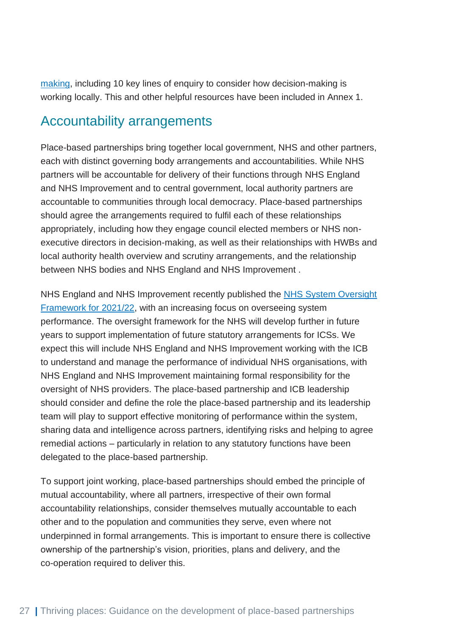[making,](https://www.local.gov.uk/sites/default/files/documents/Localising%20Decision%20Making%20Guide%20PDF.pdf) including 10 key lines of enquiry to consider how decision-making is working locally. This and other helpful resources have been included in Annex 1.

### <span id="page-27-0"></span>Accountability arrangements

Place-based partnerships bring together local government, NHS and other partners, each with distinct governing body arrangements and accountabilities. While NHS partners will be accountable for delivery of their functions through NHS England and NHS Improvement and to central government, local authority partners are accountable to communities through local democracy. Place-based partnerships should agree the arrangements required to fulfil each of these relationships appropriately, including how they engage council elected members or NHS nonexecutive directors in decision-making, as well as their relationships with HWBs and local authority health overview and scrutiny arrangements, and the relationship between NHS bodies and NHS England and NHS Improvement .

NHS England and NHS Improvement recently published the NHS System Oversight [Framework for 2021/22,](https://www.england.nhs.uk/nhs-system-oversight-framework-2021-22/) with an increasing focus on overseeing system performance. The oversight framework for the NHS will develop further in future years to support implementation of future statutory arrangements for ICSs. We expect this will include NHS England and NHS Improvement working with the ICB to understand and manage the performance of individual NHS organisations, with NHS England and NHS Improvement maintaining formal responsibility for the oversight of NHS providers. The place-based partnership and ICB leadership should consider and define the role the place-based partnership and its leadership team will play to support effective monitoring of performance within the system, sharing data and intelligence across partners, identifying risks and helping to agree remedial actions – particularly in relation to any statutory functions have been delegated to the place-based partnership.

To support joint working, place-based partnerships should embed the principle of mutual accountability, where all partners, irrespective of their own formal accountability relationships, consider themselves mutually accountable to each other and to the population and communities they serve, even where not underpinned in formal arrangements. This is important to ensure there is collective ownership of the partnership's vision, priorities, plans and delivery, and the co-operation required to deliver this.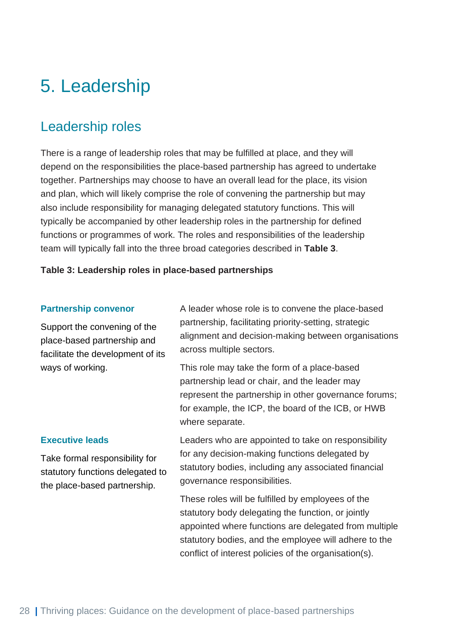## <span id="page-28-0"></span>5. Leadership

### <span id="page-28-1"></span>Leadership roles

There is a range of leadership roles that may be fulfilled at place, and they will depend on the responsibilities the place-based partnership has agreed to undertake together. Partnerships may choose to have an overall lead for the place, its vision and plan, which will likely comprise the role of convening the partnership but may also include responsibility for managing delegated statutory functions. This will typically be accompanied by other leadership roles in the partnership for defined functions or programmes of work. The roles and responsibilities of the leadership team will typically fall into the three broad categories described in **Table 3**.

#### **Table 3: Leadership roles in place-based partnerships**

#### **Partnership convenor**

Support the convening of the place-based partnership and facilitate the development of its ways of working.

A leader whose role is to convene the place-based partnership, facilitating priority-setting, strategic alignment and decision-making between organisations across multiple sectors.

This role may take the form of a place-based partnership lead or chair, and the leader may represent the partnership in other governance forums; for example, the ICP, the board of the ICB, or HWB where separate.

#### **Executive leads**

Take formal responsibility for statutory functions delegated to the place-based partnership.

Leaders who are appointed to take on responsibility for any decision-making functions delegated by statutory bodies, including any associated financial governance responsibilities.

These roles will be fulfilled by employees of the statutory body delegating the function, or jointly appointed where functions are delegated from multiple statutory bodies, and the employee will adhere to the conflict of interest policies of the organisation(s).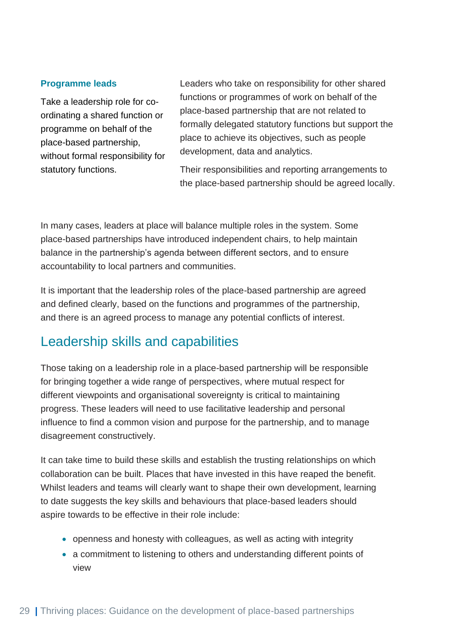#### **Programme leads**

Take a leadership role for coordinating a shared function or programme on behalf of the place-based partnership, without formal responsibility for statutory functions.

Leaders who take on responsibility for other shared functions or programmes of work on behalf of the place-based partnership that are not related to formally delegated statutory functions but support the place to achieve its objectives, such as people development, data and analytics.

Their responsibilities and reporting arrangements to the place-based partnership should be agreed locally.

In many cases, leaders at place will balance multiple roles in the system. Some place-based partnerships have introduced independent chairs, to help maintain balance in the partnership's agenda between different sectors, and to ensure accountability to local partners and communities.

It is important that the leadership roles of the place-based partnership are agreed and defined clearly, based on the functions and programmes of the partnership, and there is an agreed process to manage any potential conflicts of interest.

### <span id="page-29-0"></span>Leadership skills and capabilities

Those taking on a leadership role in a place-based partnership will be responsible for bringing together a wide range of perspectives, where mutual respect for different viewpoints and organisational sovereignty is critical to maintaining progress. These leaders will need to use facilitative leadership and personal influence to find a common vision and purpose for the partnership, and to manage disagreement constructively.

It can take time to build these skills and establish the trusting relationships on which collaboration can be built. Places that have invested in this have reaped the benefit. Whilst leaders and teams will clearly want to shape their own development, learning to date suggests the key skills and behaviours that place-based leaders should aspire towards to be effective in their role include:

- openness and honesty with colleagues, as well as acting with integrity
- a commitment to listening to others and understanding different points of view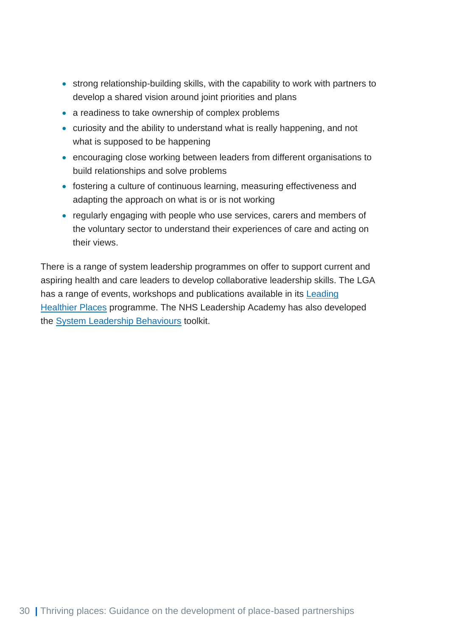- strong relationship-building skills, with the capability to work with partners to develop a shared vision around joint priorities and plans
- a readiness to take ownership of complex problems
- curiosity and the ability to understand what is really happening, and not what is supposed to be happening
- encouraging close working between leaders from different organisations to build relationships and solve problems
- fostering a culture of continuous learning, measuring effectiveness and adapting the approach on what is or is not working
- regularly engaging with people who use services, carers and members of the voluntary sector to understand their experiences of care and acting on their views.

There is a range of system leadership programmes on offer to support current and aspiring health and care leaders to develop collaborative leadership skills. The LGA has a range of events, workshops and publications available in its **Leading** [Healthier Places](https://www.local.gov.uk/publications/leading-healthier-places-202122-support-care-and-health-leaders) programme. The NHS Leadership Academy has also developed the [System Leadership Behaviours](https://www.nwacademy.nhs.uk/discover/offers/system-leadership-behaviour-cards) toolkit.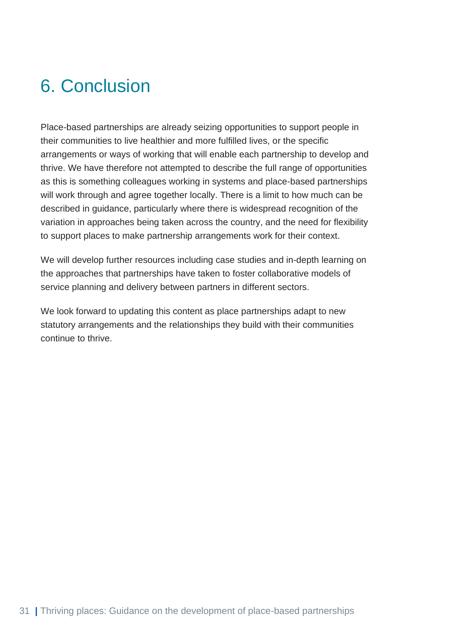## <span id="page-31-0"></span>6. Conclusion

Place-based partnerships are already seizing opportunities to support people in their communities to live healthier and more fulfilled lives, or the specific arrangements or ways of working that will enable each partnership to develop and thrive. We have therefore not attempted to describe the full range of opportunities as this is something colleagues working in systems and place-based partnerships will work through and agree together locally. There is a limit to how much can be described in guidance, particularly where there is widespread recognition of the variation in approaches being taken across the country, and the need for flexibility to support places to make partnership arrangements work for their context.

We will develop further resources including case studies and in-depth learning on the approaches that partnerships have taken to foster collaborative models of service planning and delivery between partners in different sectors.

We look forward to updating this content as place partnerships adapt to new statutory arrangements and the relationships they build with their communities continue to thrive.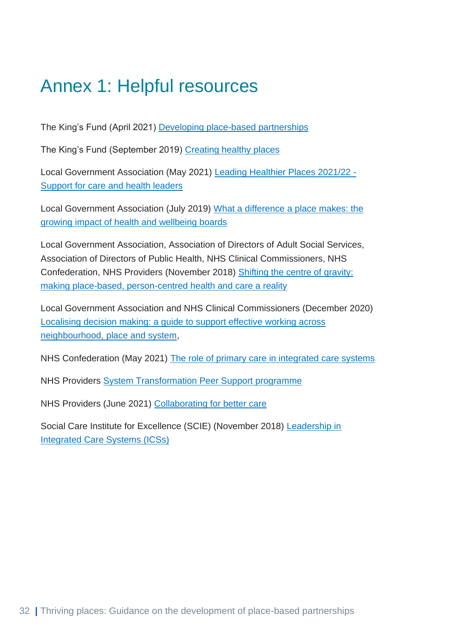## <span id="page-32-0"></span>Annex 1: Helpful resources

The King's Fund (April 2021) [Developing place-based partnerships](https://www.kingsfund.org.uk/publications/place-based-partnerships-integrated-care-systems)

The King's Fund (September 2019) [Creating healthy places](https://www.kingsfund.org.uk/publications/creating-healthy-places)

Local Government Association (May 2021) [Leading Healthier Places 2021/22 -](https://www.local.gov.uk/publications/leading-healthier-places-202122-support-care-and-health-leaders) [Support for care and health leaders](https://www.local.gov.uk/publications/leading-healthier-places-202122-support-care-and-health-leaders)

Local Government Association (July 2019) What a difference [a place makes: the](https://local.gov.uk/publications/what-difference-place-makes-growing-impact-health-and-wellbeing-boards)  [growing impact of health and wellbeing boards](https://local.gov.uk/publications/what-difference-place-makes-growing-impact-health-and-wellbeing-boards)

Local Government Association, Association of Directors of Adult Social Services, Association of Directors of Public Health, NHS Clinical Commissioners, NHS Confederation, NHS Providers (November 2018) [Shifting the centre of gravity:](https://www.local.gov.uk/publications/shifting-centre-gravity-making-place-based-person-centred-health-and-care-reality)  [making place-based, person-centred health and care a reality](https://www.local.gov.uk/publications/shifting-centre-gravity-making-place-based-person-centred-health-and-care-reality)

Local Government Association and NHS Clinical Commissioners (December 2020) [Localising decision making: a guide to support effective working across](https://www.local.gov.uk/publications/localising-decision-making-guide-support-effective-working-across-neighbourhood-place)  [neighbourhood, place and system,](https://www.local.gov.uk/publications/localising-decision-making-guide-support-effective-working-across-neighbourhood-place)

NHS Confederation (May 2021) [The role of primary care in integrated care systems](https://www.nhsconfed.org/publications/role-primary-care-integrated-care-systems)

NHS Providers [System Transformation Peer Support programme](https://nhsproviders.org/peersupport)

NHS Providers (June 2021) [Collaborating for better care](https://nhsproviders.org/providers-deliver-collaborating-for-better-care)

Social Care Institute for Excellence (SCIE) (November 2018) [Leadership in](https://www.scie.org.uk/integrated-care/leadership/systems)  [Integrated Care Systems \(ICSs\)](https://www.scie.org.uk/integrated-care/leadership/systems)